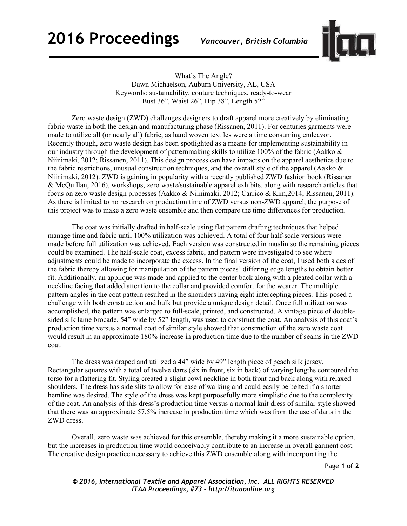## **2016 Proceedings** *Vancouver, British Columbia*



What's The Angle? Dawn Michaelson, Auburn University, AL, USA Keywords: sustainability, couture techniques, ready-to-wear Bust 36", Waist 26", Hip 38", Length 52"

Zero waste design (ZWD) challenges designers to draft apparel more creatively by eliminating fabric waste in both the design and manufacturing phase (Rissanen, 2011). For centuries garments were made to utilize all (or nearly all) fabric, as hand woven textiles were a time consuming endeavor. Recently though, zero waste design has been spotlighted as a means for implementing sustainability in our industry through the development of patternmaking skills to utilize 100% of the fabric (Aakko & Niinimaki, 2012; Rissanen, 2011). This design process can have impacts on the apparel aesthetics due to the fabric restrictions, unusual construction techniques, and the overall style of the apparel (Aakko & Niinimaki, 2012). ZWD is gaining in popularity with a recently published ZWD fashion book (Rissanen & McQuillan, 2016), workshops, zero waste/sustainable apparel exhibits, along with research articles that focus on zero waste design processes (Aakko & Niinimaki, 2012; Carrico & Kim,2014; Rissanen, 2011). As there is limited to no research on production time of ZWD versus non-ZWD apparel, the purpose of this project was to make a zero waste ensemble and then compare the time differences for production.

The coat was initially drafted in half-scale using flat pattern drafting techniques that helped manage time and fabric until 100% utilization was achieved. A total of four half-scale versions were made before full utilization was achieved. Each version was constructed in muslin so the remaining pieces could be examined. The half-scale coat, excess fabric, and pattern were investigated to see where adjustments could be made to incorporate the excess. In the final version of the coat, I used both sides of the fabric thereby allowing for manipulation of the pattern pieces' differing edge lengths to obtain better fit. Additionally, an applique was made and applied to the center back along with a pleated collar with a neckline facing that added attention to the collar and provided comfort for the wearer. The multiple pattern angles in the coat pattern resulted in the shoulders having eight intercepting pieces. This posed a challenge with both construction and bulk but provide a unique design detail. Once full utilization was accomplished, the pattern was enlarged to full-scale, printed, and constructed. A vintage piece of doublesided silk lame brocade, 54" wide by 52" length, was used to construct the coat. An analysis of this coat's production time versus a normal coat of similar style showed that construction of the zero waste coat would result in an approximate 180% increase in production time due to the number of seams in the ZWD coat.

The dress was draped and utilized a 44" wide by 49" length piece of peach silk jersey. Rectangular squares with a total of twelve darts (six in front, six in back) of varying lengths contoured the torso for a flattering fit. Styling created a slight cowl neckline in both front and back along with relaxed shoulders. The dress has side slits to allow for ease of walking and could easily be belted if a shorter hemline was desired. The style of the dress was kept purposefully more simplistic due to the complexity of the coat. An analysis of this dress's production time versus a normal knit dress of similar style showed that there was an approximate 57.5% increase in production time which was from the use of darts in the ZWD dress.

Overall, zero waste was achieved for this ensemble, thereby making it a more sustainable option, but the increases in production time would conceivably contribute to an increase in overall garment cost. The creative design practice necessary to achieve this ZWD ensemble along with incorporating the

Page **1** of **2**

*© 2016, International Textile and Apparel Association, Inc. ALL RIGHTS RESERVED ITAA Proceedings, #73 – http://itaaonline.org*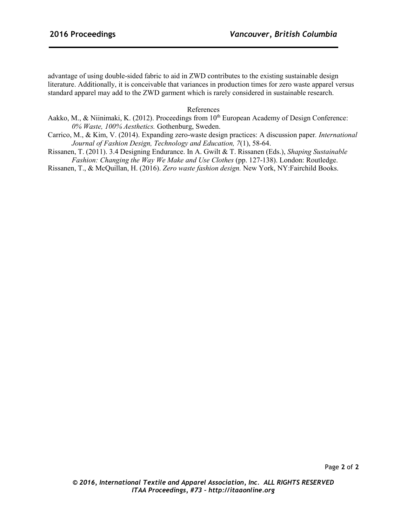advantage of using double-sided fabric to aid in ZWD contributes to the existing sustainable design literature. Additionally, it is conceivable that variances in production times for zero waste apparel versus standard apparel may add to the ZWD garment which is rarely considered in sustainable research.

References

- Aakko, M., & Niinimaki, K. (2012). Proceedings from 10<sup>th</sup> European Academy of Design Conference: *0% Waste, 100% Aesthetics.* Gothenburg, Sweden.
- Carrico, M., & Kim, V. (2014). Expanding zero-waste design practices: A discussion paper*. International Journal of Fashion Design, Technology and Education, 7*(1), 58-64.
- Rissanen, T. (2011). 3.4 Designing Endurance. In A. Gwilt & T. Rissanen (Eds.), *Shaping Sustainable Fashion: Changing the Way We Make and Use Clothes (pp. 127-138). London: Routledge.*

Rissanen, T., & McQuillan, H. (2016). *Zero waste fashion design.* New York, NY:Fairchild Books.